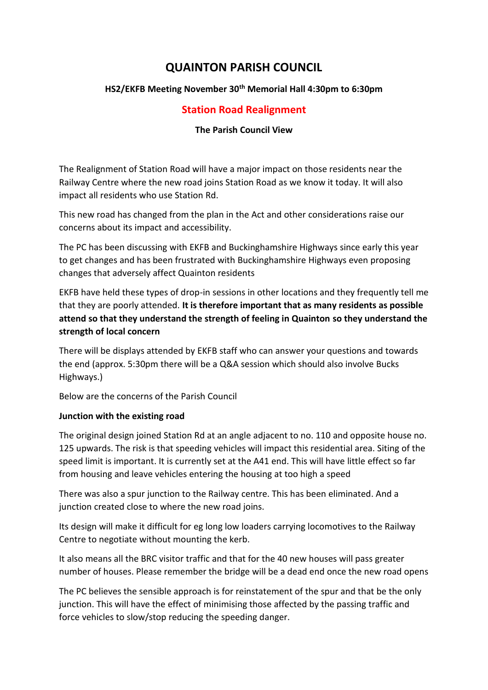# **QUAINTON PARISH COUNCIL**

# **HS2/EKFB Meeting November 30th Memorial Hall 4:30pm to 6:30pm**

# **Station Road Realignment**

# **The Parish Council View**

The Realignment of Station Road will have a major impact on those residents near the Railway Centre where the new road joins Station Road as we know it today. It will also impact all residents who use Station Rd.

This new road has changed from the plan in the Act and other considerations raise our concerns about its impact and accessibility.

The PC has been discussing with EKFB and Buckinghamshire Highways since early this year to get changes and has been frustrated with Buckinghamshire Highways even proposing changes that adversely affect Quainton residents

EKFB have held these types of drop-in sessions in other locations and they frequently tell me that they are poorly attended. **It is therefore important that as many residents as possible attend so that they understand the strength of feeling in Quainton so they understand the strength of local concern**

There will be displays attended by EKFB staff who can answer your questions and towards the end (approx. 5:30pm there will be a Q&A session which should also involve Bucks Highways.)

Below are the concerns of the Parish Council

#### **Junction with the existing road**

The original design joined Station Rd at an angle adjacent to no. 110 and opposite house no. 125 upwards. The risk is that speeding vehicles will impact this residential area. Siting of the speed limit is important. It is currently set at the A41 end. This will have little effect so far from housing and leave vehicles entering the housing at too high a speed

There was also a spur junction to the Railway centre. This has been eliminated. And a junction created close to where the new road joins.

Its design will make it difficult for eg long low loaders carrying locomotives to the Railway Centre to negotiate without mounting the kerb.

It also means all the BRC visitor traffic and that for the 40 new houses will pass greater number of houses. Please remember the bridge will be a dead end once the new road opens

The PC believes the sensible approach is for reinstatement of the spur and that be the only junction. This will have the effect of minimising those affected by the passing traffic and force vehicles to slow/stop reducing the speeding danger.